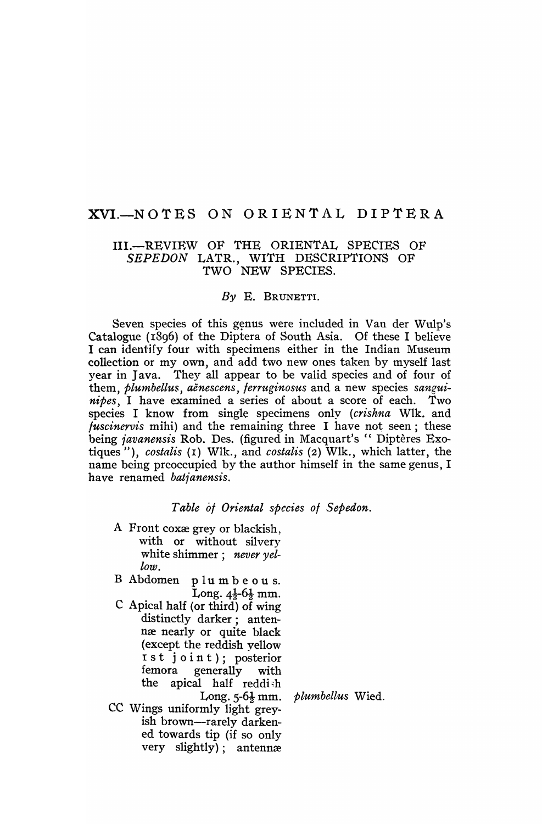# XVI.-NOTES ON ORIENTAL DIPTERA

## III.-REVIEW OF THE ORIENTAL SPECIES OF *SEPEDON* LATR., WITH DESCRIPTIONS OF TWO NEW SPECIES.

#### *By* E. BRUNETTI.

Seven species of this genus were included in Van der Wulp's Catalogue (1896) of the Diptera of South Asia. Of these I believe I can identify four with specimens either in the Indian Museum collection or my own, and add two new ones taken by myself last year in Java. They all appear to be valid species and of four of them, *plumbellus, aenescens, lerruginosus* and a new species *sanguinipes,* I have examined a series of about a score of each. Two species I know from single specimens only *(crishna Wlk. and luscinervis* mihi) and the remaining three I have not seen; these being *javanensis* Rob. Des. (figured in Macquart's "Diptères Exotiques "), *costalis* (r) Wlk., and *costalis* (2) Wlk., which latter, the name being preoccupied by the author himself in the same genus, I have renamed *batfanensis.* 

#### *Table 01 Oriental species 01 Sepedon.*

- A Front coxe grey or blackish, with or without silvery white shimmer; *never yellow.*
- B Abdomen plumbeous. Long.  $4\frac{1}{2}$ -6 $\frac{1}{2}$  mm.
- e Apical half (or third) of wing distinctly darker; antennæ nearly or quite black (except the reddish yellow I st joint); posterior<br>femora generally with generally with the apical half reddish
- CC Wings uniformly light greyish brown-rarely darkened towards tip (if so only very slightly); antennæ

Long. 5-6<sup>1</sup>/<sub>2</sub> mm. *plumbellus* Wied.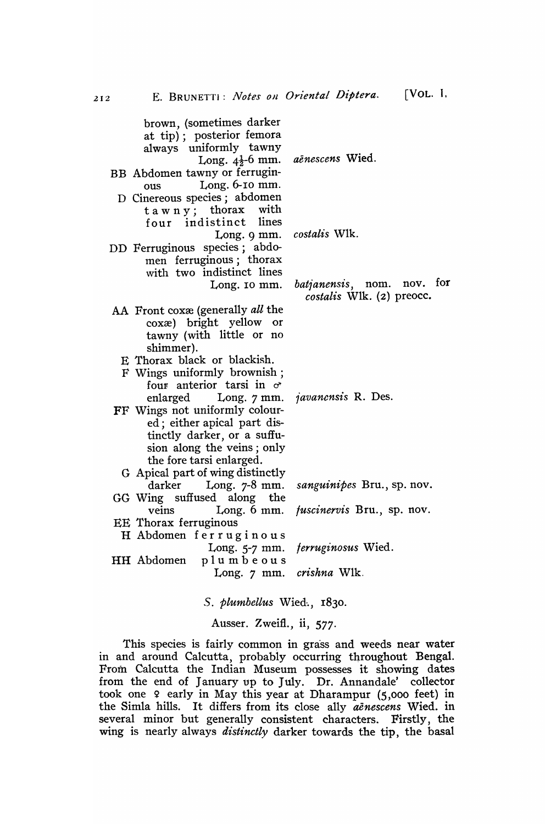brown, (sometimes darker at tip); posterior femora always uniformly tawny Long.  $4\frac{1}{2}$ -6 mm. BB Abdomen tawny or ferruginous Long. 6-10 mm. D Cinereous species; abdomen tawny; thorax with four indistinct lines Long. 9 mm. DD Ferruginous species; abdomen ferruginous; thorax with two indistinct lines Long. 10 mm. AA Front coxxe (generally *all* the coxxe) bright yellow or tawny (with little or no shimmer). E Thorax black or blackish. F Wings uniformly brownish; foup anterior tarsi in *d'*  enlarged Long. 7 mm. FF Wings not uniformly coloured; either apical part distinctly darker, or a suffusion along the veins; only the fore tarsi enlarged. G Apical part of wing distinctly darker Long. 7-8 mm. GG Wing suffused along the veins Long. 6 mm. EE Thorax ferruginous H Abdomen ferruginous Long. 5-7 mm. HH Abdomen plumbeous Long.  $7 \text{ mm}$ . *aenescens* Wied. *costalis* 'Vlk. *batianensis,* nom. nov. for *costalis* Wlk. (2) preocc. *1'avanensis* R. Des. *sanguinipes* Bru., sp. nov. *fuscinervis* Bru., sp. nov. *ferruginosus* Wied. *crishna* Wlk.

*S. plumbeltus* Wied·., 1830.

Ausser. Zweifl., ii, 577.

This species is fairly common in grass and weeds near water in and around Calcutta, probably occurring throughout Bengal. From Calcutta the Indian Museum possesses it showing dates from the end of January up to July. Dr. Annandale' collector took one 9 early in May this year at Dharampur (5,000 feet) in the Simla hills. It differs from its close ally *aenescens* Wied. in several minor but generally consistent characters. Firstly, the wing is nearly always *distinctly* darker towards the tip, the basal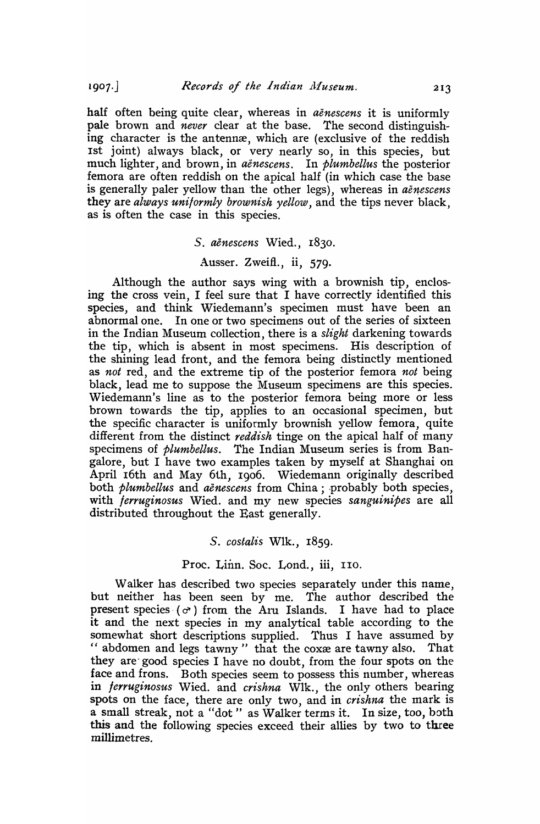half often being quite clear, whereas in *aenescens* it is uniformly pale brown and *never* clear at the base. The second distinguishing character is the antennæ, which are (exclusive of the reddish 1st joint) always black, or very nearly so, in this species, but much lighter, and brown, in *aenescens.* In *plumbellus* the posterior femora are often reddish on the apical half (in which case the base is generally paler yellow than the other legs), whereas in *aenescens*  they are *always uniformly brownish yellow,* and the tips never black, as is often the case in this species.

#### *S. aenescens* Wied., r830.

#### Ausser. Zweifl., ii, 579.

Although the author says wing with a brownish tip, enclosing the cross vein, I feel sure that I have correctly identified this species, and think Wiedemann's specimen must have been an abnormal one. In one or two specimens out of the series of sixteen in the Indian Museum collection, there is a *slight* darkening towards the tip, which is absent in most specimens. His description of the shining lead front, and the femora being distinctly mentioned as *not* red, and the extreme tip of the posterior femora *not* being black, lead me to suppose the Museum specimens are this species. Wiedemann's line as to the posterior femora being more or less brown towards the tip, applies to an occasional specimen, but the specific character is uniformly brownish yellow femora, quite different from the distinct *reddish* tinge on the apical half of many specimens of *plumbellus.* The Indian Museum series is from Bangalore, but I have two examples taken by myself at Shanghai on April r6th and May 6th, 1906. Wiedemann originally described both *plumbellus* and *aenescens* from China; probably both species, with *ferruginosus* Wied. and my new species *sanguinipes* are all distributed throughout the East generally.

### *S. costalis* WIk., r859.

### Proc. Linn. Soc. Lond., iii, 110.

Walker has described two species separately under this name, but neither has been seen by me. The author described the present species  $(\sigma)$  from the Aru Islands. I have had to place it and the next species in my analytical table according to the somewhat short descriptions supplied. Thus I have assumed by " abdomen and legs tawny" that the coxxe are tawny also. That they are" good species I have no doubt, from the four spots on the face and frons. Both species seem to possess this number, whereas in *ferruginosus* Wied. and *crishna* Wlk., the only others bearing spots on the face, there are only two, and in *crishna* the mark is a small streak, not a "dot" as Walker terms it. In size, too, both this and the following species exceed their allies by two to three millimetres.

 $1907.$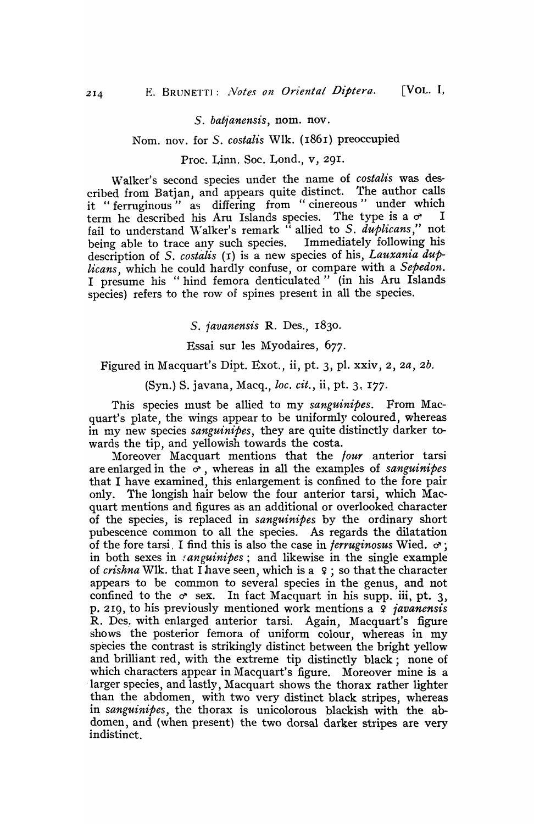### S. batjanensis, nom. nov.

### Nom. nov. for S. *costalis* Wlk. {1861} preoccupied

### Proc. Linn. Soc. Lond., v, 29<sup>I</sup> .

Walker's second species under the name of *costalis* was described from Batjan, and appears quite distinct. The author calls it "ferruginous" as differing from "cinereous" under which term he described his Aru Islands species. The type is a  $\sigma$  I fail to understand Walker's remark  $\lq\lq$  allied to S.  $\it duplicans,''$  not being able to trace any such species. Immediately following his description of S. *costalis* (1) is a new species of his, *Lauxania duplicans,* which he could hardly confuse, or compare with a *Sepedon.*  I presume his "hind femora denticulated" (in his Aru Islands species) refers to the row of spines present in all the species.

*S. javanensis* R. Des., 1830.

Essai sur les Myodaires, 677.

## Figured in Macquart's Dipt. Exot., ii, pt. 3, pI. xxiv, 2, *za, 2b.*

(Syn.) S. javana, Macq., *lac. cit.,* ii, pt. 3~ I77.

This species must be allied to my *sanguinipes.* From Macquart's plate, the wings appear to be uniformly coloured, whereas in my new species *sanguinipes*, they are quite distinctly darker towards the tip, and yellowish towards the costa.

Moreover Macquart mentions that the *lour* anterior tarsi are enlarged in the  $\sigma$ , whereas in all the examples of *sanguinipes* that I have examined, this enlargement is confined to the fore pair only. The longish hair below the four anterior tarsi, which Macquart mentions and figures as an additional or overlooked character of the species, is replaced in *sanguinipes* by the ordinary short pubescence common to all the species. As regards the dilatation of the fore tarsi. I find this is also the case in *ferruginosus* Wied.  $\sigma$ ; in both sexes in *sanguinipes*; and likewise in the single example of *crishna* Wlk. that I have seen, which is a 9; so that the character appears to be common to several species in the genus, and not confined to the  $\sigma$  sex. In fact Macquart in his supp. iii, pt. 3, p. 219, to his previously mentioned work mentions a 9 *javanensis*  R. Des. with enlarged anterior tarsi. Again, Macquart's figure shows the posterior femora of uniform colour, whereas in my species the contrast is strikingly distinct between the bright yellow and brilliant red, with the extreme tip distinctly black; none of which characters appear in Macquart's figure. Moreover mine is a larger species, and lastly, Macquart shows the thorax rather lighter than the abdomen, with two very distinct black stripes, whereas in *sanguinipes,* the thorax is unicolorous blackish with the abdomen, and (when present) the two dorsal darker stripes are very indistinct.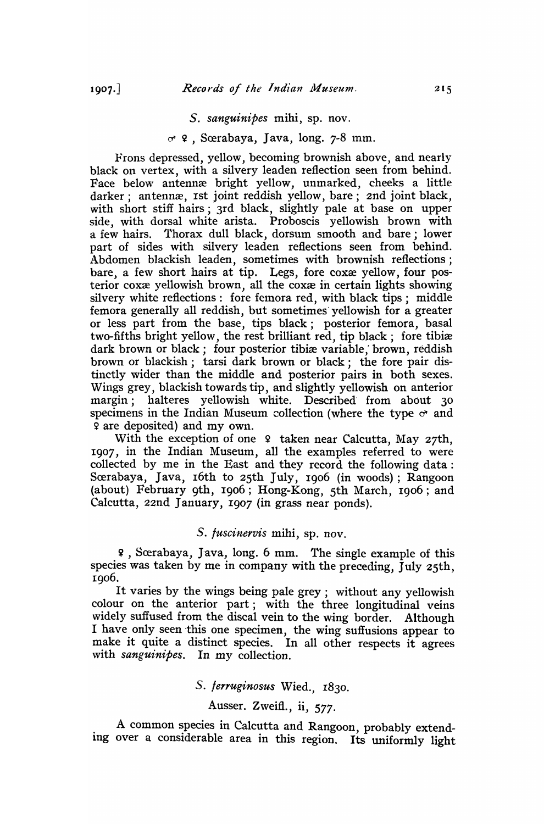#### *S. sanguinipes* mihi, sp. nov.

### $\sigma$  ? , Scerabaya, Java, long. 7-8 mm.

Frons depressed, yellow, becoming brownish above, and nearly black on vertex, with a silvery leaden reflection seen from behind. Face below antennæ bright yellow, unmarked, cheeks a little darker; antennæ, 1st joint reddish yellow, bare; 2nd joint black, with short stiff hairs; 3rd black, slightly pale at base on upper side, with dorsal white arista. Proboscis yellowish brown with a few hairs. Thorax dull black, dorsum smooth and bare; lower part of sides with silvery leaden reflections seen from behind. Abdomen blackish leaden, sometimes with brownish reflections; bare, a few short hairs at tip. Legs, fore coxæ yellow, four posterior coxxe yellowish brown, all the coxxe in certain lights showing silvery white reflections: fore femora red, with black tips; middle femora generally all reddish, but sometimes' yellowish for a greater or less part from the base, tips black; posterior femora, basal two-fifths bright yellow, the rest brilliant red, tip black; fore tibiæ dark brown or black; four posterior tibiæ variable, brown, reddish brown or blackish; tarsi dark brown or black; the fore pair distinctly wider than the middle and posterior pairs in both sexes. Wings grey, blackish towards tip, and slightly yellowish on anterior margin; halteres yellowish white. Described from about 30 specimens in the Indian Museum collection (where the type  $\sigma$  and 9 are deposited) and my own.

With the exception of one  $9$  taken near Calcutta, May 27th, 1907, in the Indian Museum, all the examples referred to were collected by me in the East and they record the following data: Sœrabaya, Java, 16th to 25th July, 1906 (in woods); Rangoon (about) February 9th, 1906; Hong-Kong, 5th March, 1906; and Calcutta, 22nd January, 1907 (in grass near ponds).

### *S. juscinervis* mihi, sp. nov.

<sup>~</sup>, Srerabaya, Java, long. 6 mm. The single example of this species was taken by me in company with the preceding, July 25th, 1906.

It varies by the wings being. pale grey; without any yellowish colour on the anterior part; with the three longitudinal veins widely suffused from the discal vein to the wing border. Although I have only seen this one specimen, the wing suffusions appear to make it quite a distinct species. In all other respects it agrees with *sanguinipes.* In my collection.

### s. *jerruginosus* Wied., 183<sup>0</sup> .

# Ausser. Zweifl., ii, 577.

A common species in Calcutta and Rangoon, probably extending over a considerable area in this region. Its uniformly light